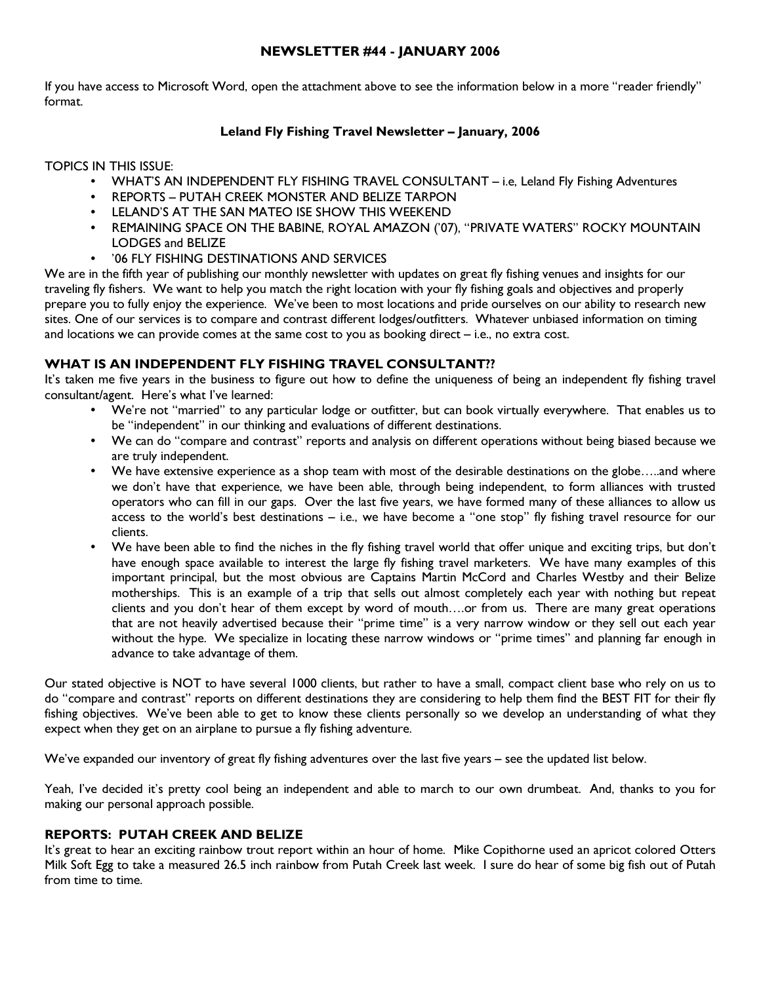## NEWSLETTER #44 - JANUARY 2006

If you have access to Microsoft Word, open the attachment above to see the information below in a more "reader friendly" format.

## Leland Fly Fishing Travel Newsletter – January, 2006

TOPICS IN THIS ISSUE:

- WHAT'S AN INDEPENDENT FLY FISHING TRAVEL CONSULTANT i.e, Leland Fly Fishing Adventures
- REPORTS PUTAH CREEK MONSTER AND BELIZE TARPON
- LELAND'S AT THE SAN MATEO ISE SHOW THIS WEEKEND
- REMAINING SPACE ON THE BABINE, ROYAL AMAZON ('07), "PRIVATE WATERS" ROCKY MOUNTAIN LODGES and BELIZE
- '06 FLY FISHING DESTINATIONS AND SERVICES

We are in the fifth year of publishing our monthly newsletter with updates on great fly fishing venues and insights for our traveling fly fishers. We want to help you match the right location with your fly fishing goals and objectives and properly prepare you to fully enjoy the experience. We've been to most locations and pride ourselves on our ability to research new sites. One of our services is to compare and contrast different lodges/outfitters. Whatever unbiased information on timing and locations we can provide comes at the same cost to you as booking direct – i.e., no extra cost.

# WHAT IS AN INDEPENDENT FLY FISHING TRAVEL CONSULTANT ??

It's taken me five years in the business to figure out how to define the uniqueness of being an independent fly fishing travel consultant/agent. Here's what I've learned:

- We're not "married" to any particular lodge or outfitter, but can book virtually everywhere. That enables us to be "independent" in our thinking and evaluations of different destinations.
- We can do "compare and contrast" reports and analysis on different operations without being biased because we are truly independent.
- We have extensive experience as a shop team with most of the desirable destinations on the globe…..and where we don't have that experience, we have been able, through being independent, to form alliances with trusted operators who can fill in our gaps. Over the last five years, we have formed many of these alliances to allow us access to the world's best destinations – i.e., we have become a "one stop" fly fishing travel resource for our clients.
- We have been able to find the niches in the fly fishing travel world that offer unique and exciting trips, but don't have enough space available to interest the large fly fishing travel marketers. We have many examples of this important principal, but the most obvious are Captains Martin McCord and Charles Westby and their Belize motherships. This is an example of a trip that sells out almost completely each year with nothing but repeat clients and you don't hear of them except by word of mouth….or from us. There are many great operations that are not heavily advertised because their "prime time" is a very narrow window or they sell out each year without the hype. We specialize in locating these narrow windows or "prime times" and planning far enough in advance to take advantage of them.

Our stated objective is NOT to have several 1000 clients, but rather to have a small, compact client base who rely on us to do "compare and contrast" reports on different destinations they are considering to help them find the BEST FIT for their fly fishing objectives. We've been able to get to know these clients personally so we develop an understanding of what they expect when they get on an airplane to pursue a fly fishing adventure.

We've expanded our inventory of great fly fishing adventures over the last five years – see the updated list below.

Yeah, I've decided it's pretty cool being an independent and able to march to our own drumbeat. And, thanks to you for making our personal approach possible.

### REPORTS: PUTAH CREEK AND BELIZE

It's great to hear an exciting rainbow trout report within an hour of home. Mike Copithorne used an apricot colored Otters Milk Soft Egg to take a measured 26.5 inch rainbow from Putah Creek last week. I sure do hear of some big fish out of Putah from time to time.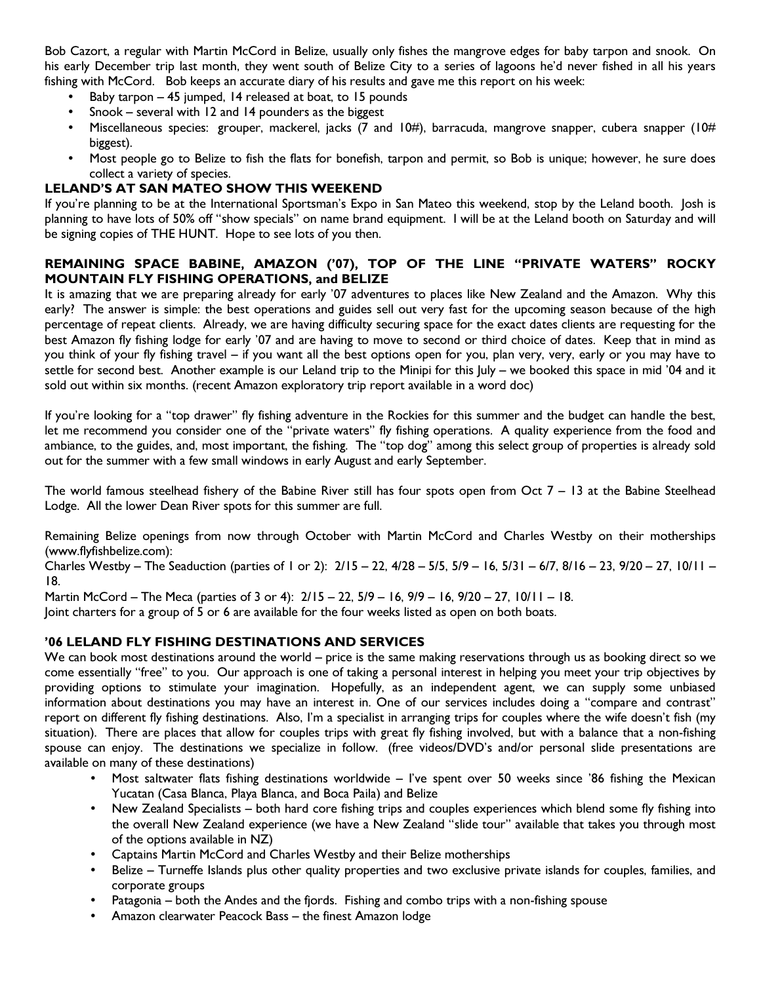Bob Cazort, a regular with Martin McCord in Belize, usually only fishes the mangrove edges for baby tarpon and snook. On his early December trip last month, they went south of Belize City to a series of lagoons he'd never fished in all his years fishing with McCord. Bob keeps an accurate diary of his results and gave me this report on his week:

- Baby tarpon 45 jumped, 14 released at boat, to 15 pounds
- Snook several with 12 and 14 pounders as the biggest
- Miscellaneous species: grouper, mackerel, jacks (7 and 10#), barracuda, mangrove snapper, cubera snapper (10# biggest).
- Most people go to Belize to fish the flats for bonefish, tarpon and permit, so Bob is unique; however, he sure does collect a variety of species.

#### LELAND'S AT SAN MATEO SHOW THIS WEEKEND

If you're planning to be at the International Sportsman's Expo in San Mateo this weekend, stop by the Leland booth. Josh is planning to have lots of 50% off "show specials" on name brand equipment. I will be at the Leland booth on Saturday and will be signing copies of THE HUNT. Hope to see lots of you then.

### REMAINING SPACE BABINE, AMAZON ('07), TOP OF THE LINE "PRIVATE WATERS" ROCKY MOUNTAIN FLY FISHING OPERATIONS, and BELIZE

It is amazing that we are preparing already for early '07 adventures to places like New Zealand and the Amazon. Why this early? The answer is simple: the best operations and guides sell out very fast for the upcoming season because of the high percentage of repeat clients. Already, we are having difficulty securing space for the exact dates clients are requesting for the best Amazon fly fishing lodge for early '07 and are having to move to second or third choice of dates. Keep that in mind as you think of your fly fishing travel – if you want all the best options open for you, plan very, very, early or you may have to settle for second best. Another example is our Leland trip to the Minipi for this July – we booked this space in mid '04 and it sold out within six months. (recent Amazon exploratory trip report available in a word doc)

If you're looking for a "top drawer" fly fishing adventure in the Rockies for this summer and the budget can handle the best, let me recommend you consider one of the "private waters" fly fishing operations. A quality experience from the food and ambiance, to the guides, and, most important, the fishing. The "top dog" among this select group of properties is already sold out for the summer with a few small windows in early August and early September.

The world famous steelhead fishery of the Babine River still has four spots open from Oct  $7 - 13$  at the Babine Steelhead Lodge. All the lower Dean River spots for this summer are full.

Remaining Belize openings from now through October with Martin McCord and Charles Westby on their motherships (www.flyfishbelize.com):

Charles Westby – The Seaduction (parties of 1 or 2): 2/15 – 22, 4/28 – 5/5, 5/9 – 16, 5/31 – 6/7, 8/16 – 23, 9/20 – 27, 10/11 – 18.

Martin McCord – The Meca (parties of 3 or 4): 2/15 – 22, 5/9 – 16, 9/9 – 16, 9/20 – 27, 10/11 – 18.

Joint charters for a group of 5 or 6 are available for the four weeks listed as open on both boats.

### '06 LELAND FLY FISHING DESTINATIONS AND SERVICES

We can book most destinations around the world – price is the same making reservations through us as booking direct so we come essentially "free" to you. Our approach is one of taking a personal interest in helping you meet your trip objectives by providing options to stimulate your imagination. Hopefully, as an independent agent, we can supply some unbiased information about destinations you may have an interest in. One of our services includes doing a "compare and contrast" report on different fly fishing destinations. Also, I'm a specialist in arranging trips for couples where the wife doesn't fish (my situation). There are places that allow for couples trips with great fly fishing involved, but with a balance that a non-fishing spouse can enjoy. The destinations we specialize in follow. (free videos/DVD's and/or personal slide presentations are available on many of these destinations)

- Most saltwater flats fishing destinations worldwide I've spent over 50 weeks since '86 fishing the Mexican Yucatan (Casa Blanca, Playa Blanca, and Boca Paila) and Belize
- New Zealand Specialists both hard core fishing trips and couples experiences which blend some fly fishing into the overall New Zealand experience (we have a New Zealand "slide tour" available that takes you through most of the options available in NZ)
- Captains Martin McCord and Charles Westby and their Belize motherships
- Belize Turneffe Islands plus other quality properties and two exclusive private islands for couples, families, and corporate groups
- Patagonia both the Andes and the fjords. Fishing and combo trips with a non-fishing spouse
- Amazon clearwater Peacock Bass the finest Amazon lodge